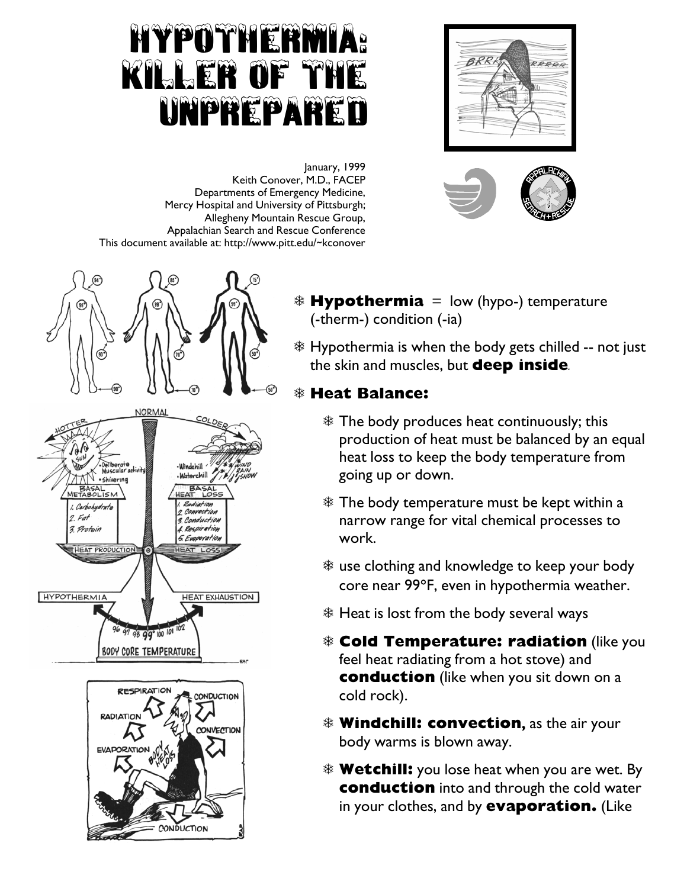## Hypothermia: Killer of the Unprepared





**January, 1999 Keith Conover, M.D., FACEP Departments of Emergency Medicine, Mercy Hospital and University of Pittsburgh; Allegheny Mountain Rescue Group, Appalachian Search and Rescue Conference This document available at: http://www.pitt.edu/~kconover** 





G **Hypothermia = low (hypo-) temperature (-therm-) condition (-ia)** 

G **Hypothermia is when the body gets chilled -- not just the skin and muscles, but deep inside***.*

## G **Heat Balance:**

- G **The body produces heat continuously; this production of heat must be balanced by an equal heat loss to keep the body temperature from going up or down.**
- G **The body temperature must be kept within a narrow range for vital chemical processes to work.**
- $*$  use clothing and knowledge to keep your body **core near 99**°**F, even in hypothermia weather.**
- G **Heat is lost from the body several ways**
- G **Cold Temperature: radiation (like you feel heat radiating from a hot stove) and conduction (like when you sit down on a cold rock).**
- G **Windchill: convection, as the air your body warms is blown away.**
- G **Wetchill: you lose heat when you are wet. By conduction into and through the cold water in your clothes, and by evaporation. (Like**